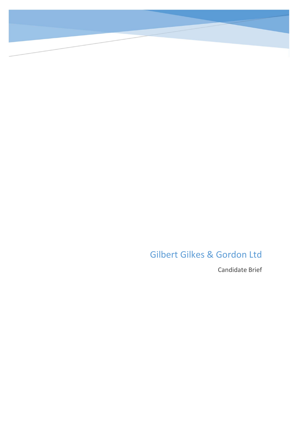Gilbert Gilkes & Gordon Ltd

Candidate Brief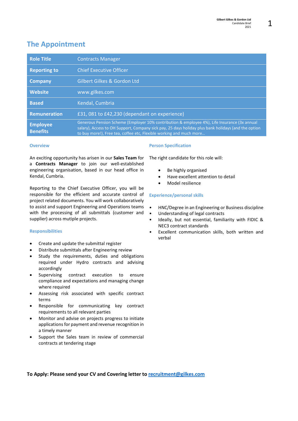# The Appointment

| <b>Role Title</b>                  | <b>Contracts Manager</b>                                                                                                                                                                                                                                                   |
|------------------------------------|----------------------------------------------------------------------------------------------------------------------------------------------------------------------------------------------------------------------------------------------------------------------------|
| <b>Reporting to</b>                | <b>Chief Executive Officer</b>                                                                                                                                                                                                                                             |
| Company                            | Gilbert Gilkes & Gordon Ltd                                                                                                                                                                                                                                                |
| <b>Website</b>                     | www.gilkes.com                                                                                                                                                                                                                                                             |
| <b>Based</b>                       | Kendal, Cumbria                                                                                                                                                                                                                                                            |
| <b>Remuneration</b>                | £31,081 to £42,230 (dependant on experience)                                                                                                                                                                                                                               |
| <b>Employee</b><br><b>Benefits</b> | Generous Pension Scheme (Employer 10% contribution & employee 4%), Life Insurance (3x annual<br>salary), Access to OH Support, Company sick pay, 25 days holiday plus bank holidays (and the option<br>to buy more!), Free tea, coffee etc, Flexible working and much more |

### **Overview**

An exciting opportunity has arisen in our Sales Team for a Contracts Manager to join our well-established engineering organisation, based in our head office in Kendal, Cumbria.

Reporting to the Chief Executive Officer, you will be responsible for the efficient and accurate control of project related documents. You will work collaboratively to assist and support Engineering and Operations teams with the processing of all submittals (customer and supplier) across mutiple projects.

### Responsibilities

- Create and update the submittal register
- Distribute submittals after Engineering review
- Study the requirements, duties and obligations required under Hydro contracts and advising accordingly
- Supervising contract execution to ensure compliance and expectations and managing change where required
- Assessing risk associated with specific contract terms
- Responsible for communicating key contract requirements to all relevant parties
- Monitor and advise on projects progress to initiate applications for payment and revenue recognition in a timely manner
- Support the Sales team in review of commercial contracts at tendering stage

#### Person Specification

The right candidate for this role will:

- Be highly organised
- Have excellent attention to detail
- Model resilience

#### Experience/personal skills

- HNC/Degree in an Engineering or Business discipline
- Understanding of legal contracts
- Ideally, but not essential, familiarity with FIDIC & NEC3 contract standards
- Excellent communication skills, both written and verbal

To Apply: Please send your CV and Covering letter to recruitment@gilkes.com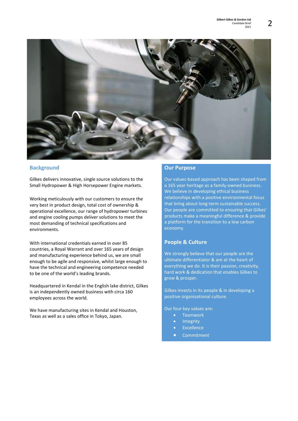

### **Background**

Gilkes delivers innovative, single source solutions to the Small Hydropower & High Horsepower Engine markets.

Working meticulously with our customers to ensure the very best in product design, total cost of ownership & operational excellence, our range of hydropower turbines and engine cooling pumps deliver solutions to meet the most demanding of technical specifications and environments.

With international credentials earned in over 85 countries, a Royal Warrant and over 165 years of design and manufacturing experience behind us, we are small enough to be agile and responsive, whilst large enough to have the technical and engineering competence needed to be one of the world's leading brands.

Headquartered in Kendal in the English lake district, Gilkes is an independently owned business with circa 160 employees across the world.

We have manufacturing sites in Kendal and Houston, Texas as well as a sales office in Tokyo, Japan.

### Our Purpose

Our values-based approach has been shaped from a 165 year heritage as a family-owned business. We believe in developing ethical business relationships with a positive environmental focus that bring about long-term sustainable success. Our people are committed to ensuring that Gilkes' products make a meaningful difference & provide a platform for the transition to a low carbon economy.

### People & Culture

We strongly believe that our people are the ultimate differentiator & are at the heart of everything we do. It is their passion, creativity, hard work & dedication that enables Gilkes to grow & prosper.

Gilkes invests in its people & in developing a positive organisational culture.

Our four key values are:

- **•** Teamwork
- Integrity
- Excellence
- **•** Commitment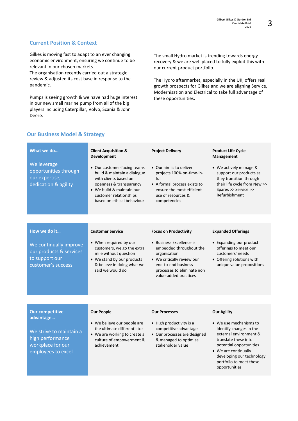# Current Position & Context

Gilkes is moving fast to adapt to an ever changing economic environment, ensuring we continue to be relevant in our chosen markets. The organisation recently carried out a strategic

review & adjusted its cost base in response to the pandemic.

Pumps is seeing growth & we have had huge interest in our new small marine pump from all of the big players including Caterpillar, Volvo, Scania & John Deere.

The small Hydro market is trending towards energy recovery & we are well placed to fully exploit this with our current product portfolio.

The Hydro aftermarket, especially in the UK, offers real growth prospects for Gilkes and we are aligning Service, Modernisation and Electrical to take full advantage of these opportunities.

| What we do<br>We leverage<br>opportunities through<br>our expertise,<br>dedication & agility                                  | <b>Client Acquisition &amp;</b><br><b>Development</b><br>• Our customer-facing teams<br>build & maintain a dialogue<br>with clients based on<br>openness & transparency<br>• We build & maintain our<br>customer relationships<br>based on ethical behaviour | <b>Project Delivery</b><br>• Our aim is to deliver<br>projects 100% on-time-in-<br>full<br>• A formal process exists to<br>ensure the most efficient<br>use of resources &<br>competencies                      | <b>Product Life Cycle</b><br>Management<br>• We actively manage &<br>support our products as<br>they transition through<br>their life cycle from New >><br>Spares >> Service >><br>Refurbishment                                                      |
|-------------------------------------------------------------------------------------------------------------------------------|--------------------------------------------------------------------------------------------------------------------------------------------------------------------------------------------------------------------------------------------------------------|-----------------------------------------------------------------------------------------------------------------------------------------------------------------------------------------------------------------|-------------------------------------------------------------------------------------------------------------------------------------------------------------------------------------------------------------------------------------------------------|
|                                                                                                                               |                                                                                                                                                                                                                                                              |                                                                                                                                                                                                                 |                                                                                                                                                                                                                                                       |
| How we do it<br>We continually improve<br>our products & services<br>to support our<br>customer's success                     | <b>Customer Service</b><br>• When required by our<br>customers, we go the extra<br>mile without question<br>• We stand by our products<br>& believe in doing what we<br>said we would do                                                                     | <b>Focus on Productivity</b><br>• Business Excellence is<br>embedded throughout the<br>organisation<br>• We critically review our<br>end-to-end business<br>processes to eliminate non<br>value-added practices | <b>Expanded Offerings</b><br>• Expanding our product<br>offerings to meet our<br>customers' needs<br>• Offering solutions with<br>unique value propositions                                                                                           |
|                                                                                                                               |                                                                                                                                                                                                                                                              |                                                                                                                                                                                                                 |                                                                                                                                                                                                                                                       |
| <b>Our competitive</b><br>advantage<br>We strive to maintain a<br>high performance<br>workplace for our<br>employees to excel | <b>Our People</b><br>• We believe our people are<br>the ultimate differentiator<br>• We are working to create a<br>culture of empowerment &<br>achievement                                                                                                   | <b>Our Processes</b><br>• High productivity is a<br>competitive advantage<br>• Our processes are designed<br>& managed to optimise<br>stakeholder value                                                         | <b>Our Agility</b><br>• We use mechanisms to<br>identify changes in the<br>external environment &<br>translate these into<br>potential opportunities<br>• We are continually<br>developing our technology<br>portfolio to meet these<br>opportunities |

# Our Business Model & Strategy